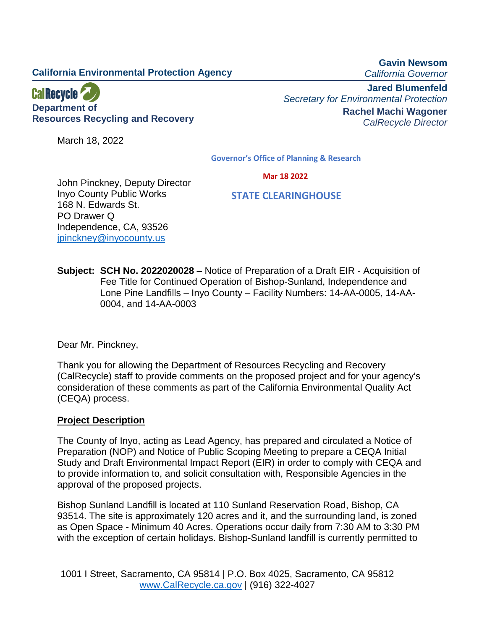# **California Environmental Protection Agency**

**Gavin Newsom** *California Governor*



**Department of Resources Recycling and Recovery**

March 18, 2022

**Jared Blumenfeld** *Secretary for Environmental Protection* **Rachel Machi Wagoner** *CalRecycle Director*

**Governor's Office of Planning & Research**

 **Mar 18 2022**

 **STATE CLEARINGHOUSE**

John Pinckney, Deputy Director Inyo County Public Works 168 N. Edwards St. PO Drawer Q Independence, CA, 93526 [jpinckney@inyocounty.us](mailto:jpinckney@inyocounty.us)

**Subject: SCH No. 2022020028** – Notice of Preparation of a Draft EIR - Acquisition of Fee Title for Continued Operation of Bishop-Sunland, Independence and Lone Pine Landfills – Inyo County – Facility Numbers: 14-AA-0005, 14-AA-0004, and 14-AA-0003

Dear Mr. Pinckney,

Thank you for allowing the Department of Resources Recycling and Recovery (CalRecycle) staff to provide comments on the proposed project and for your agency's consideration of these comments as part of the California Environmental Quality Act (CEQA) process.

# **Project Description**

The County of Inyo, acting as Lead Agency, has prepared and circulated a Notice of Preparation (NOP) and Notice of Public Scoping Meeting to prepare a CEQA Initial Study and Draft Environmental Impact Report (EIR) in order to comply with CEQA and to provide information to, and solicit consultation with, Responsible Agencies in the approval of the proposed projects.

Bishop Sunland Landfill is located at 110 Sunland Reservation Road, Bishop, CA 93514. The site is approximately 120 acres and it, and the surrounding land, is zoned as Open Space - Minimum 40 Acres. Operations occur daily from 7:30 AM to 3:30 PM with the exception of certain holidays. Bishop-Sunland landfill is currently permitted to

1001 I Street, Sacramento, CA 95814 | P.O. Box 4025, Sacramento, CA 95812 [www.CalRecycle.ca.gov](http://www.calrecycle.ca.gov/) | (916) 322-4027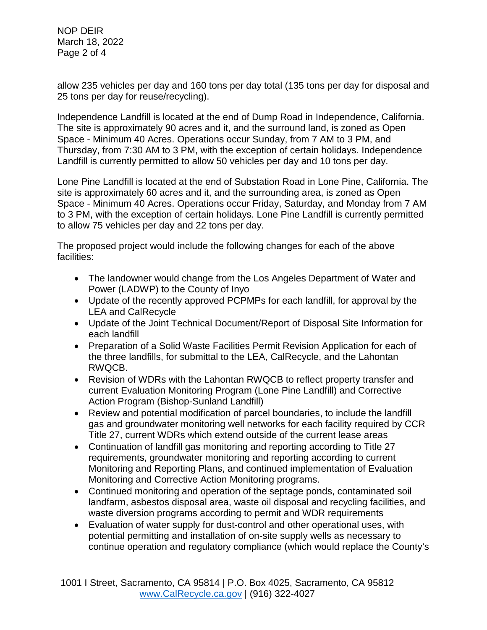NOP DEIR March 18, 2022 Page 2 of 4

allow 235 vehicles per day and 160 tons per day total (135 tons per day for disposal and 25 tons per day for reuse/recycling).

Independence Landfill is located at the end of Dump Road in Independence, California. The site is approximately 90 acres and it, and the surround land, is zoned as Open Space - Minimum 40 Acres. Operations occur Sunday, from 7 AM to 3 PM, and Thursday, from 7:30 AM to 3 PM, with the exception of certain holidays. Independence Landfill is currently permitted to allow 50 vehicles per day and 10 tons per day.

Lone Pine Landfill is located at the end of Substation Road in Lone Pine, California. The site is approximately 60 acres and it, and the surrounding area, is zoned as Open Space - Minimum 40 Acres. Operations occur Friday, Saturday, and Monday from 7 AM to 3 PM, with the exception of certain holidays. Lone Pine Landfill is currently permitted to allow 75 vehicles per day and 22 tons per day.

The proposed project would include the following changes for each of the above facilities:

- The landowner would change from the Los Angeles Department of Water and Power (LADWP) to the County of Inyo
- Update of the recently approved PCPMPs for each landfill, for approval by the LEA and CalRecycle
- Update of the Joint Technical Document/Report of Disposal Site Information for each landfill
- Preparation of a Solid Waste Facilities Permit Revision Application for each of the three landfills, for submittal to the LEA, CalRecycle, and the Lahontan RWQCB.
- Revision of WDRs with the Lahontan RWQCB to reflect property transfer and current Evaluation Monitoring Program (Lone Pine Landfill) and Corrective Action Program (Bishop-Sunland Landfill)
- Review and potential modification of parcel boundaries, to include the landfill gas and groundwater monitoring well networks for each facility required by CCR Title 27, current WDRs which extend outside of the current lease areas
- Continuation of landfill gas monitoring and reporting according to Title 27 requirements, groundwater monitoring and reporting according to current Monitoring and Reporting Plans, and continued implementation of Evaluation Monitoring and Corrective Action Monitoring programs.
- Continued monitoring and operation of the septage ponds, contaminated soil landfarm, asbestos disposal area, waste oil disposal and recycling facilities, and waste diversion programs according to permit and WDR requirements
- Evaluation of water supply for dust-control and other operational uses, with potential permitting and installation of on-site supply wells as necessary to continue operation and regulatory compliance (which would replace the County's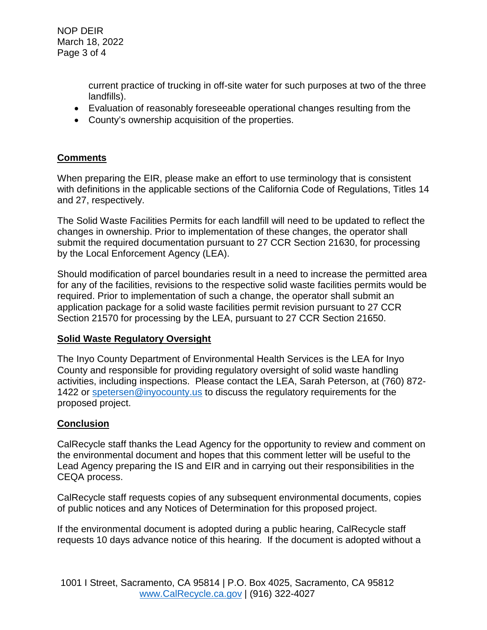NOP DEIR March 18, 2022 Page 3 of 4

> current practice of trucking in off-site water for such purposes at two of the three landfills).

- Evaluation of reasonably foreseeable operational changes resulting from the
- County's ownership acquisition of the properties.

# **Comments**

When preparing the EIR, please make an effort to use terminology that is consistent with definitions in the applicable sections of the California Code of Regulations, Titles 14 and 27, respectively.

The Solid Waste Facilities Permits for each landfill will need to be updated to reflect the changes in ownership. Prior to implementation of these changes, the operator shall submit the required documentation pursuant to 27 CCR Section 21630, for processing by the Local Enforcement Agency (LEA).

Should modification of parcel boundaries result in a need to increase the permitted area for any of the facilities, revisions to the respective solid waste facilities permits would be required. Prior to implementation of such a change, the operator shall submit an application package for a solid waste facilities permit revision pursuant to 27 CCR Section 21570 for processing by the LEA, pursuant to 27 CCR Section 21650.

# **Solid Waste Regulatory Oversight**

The Inyo County Department of Environmental Health Services is the LEA for Inyo County and responsible for providing regulatory oversight of solid waste handling activities, including inspections. Please contact the LEA, Sarah Peterson, at (760) 872 1422 or [spetersen@inyocounty.us](mailto:spetersen@inyocounty.us) to discuss the regulatory requirements for the proposed project.

# **Conclusion**

CalRecycle staff thanks the Lead Agency for the opportunity to review and comment on the environmental document and hopes that this comment letter will be useful to the Lead Agency preparing the IS and EIR and in carrying out their responsibilities in the CEQA process.

CalRecycle staff requests copies of any subsequent environmental documents, copies of public notices and any Notices of Determination for this proposed project.

If the environmental document is adopted during a public hearing, CalRecycle staff requests 10 days advance notice of this hearing. If the document is adopted without a